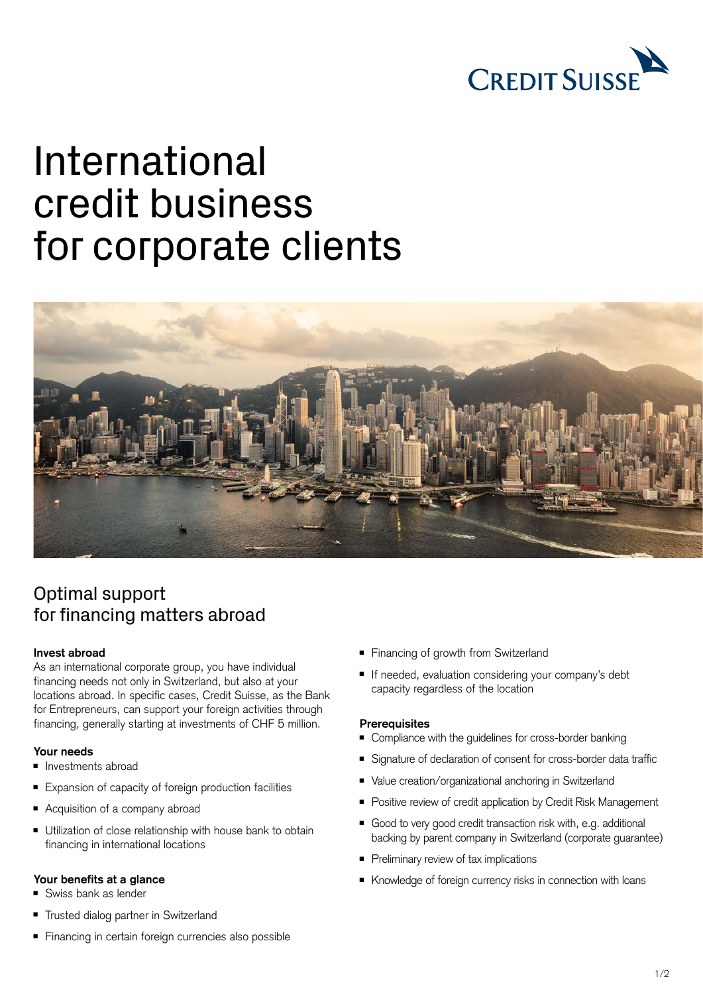

# International credit business for corporate clients



## Optimal support for financing matters abroad

#### **Invest abroad**

As an international corporate group, you have individual financing needs not only in Switzerland, but also at your locations abroad. In specific cases, Credit Suisse, as the Bank for Entrepreneurs, can support your foreign activities through financing, generally starting at investments of CHF 5 million.

#### **Your needs**

- Investments abroad
- Expansion of capacity of foreign production facilities
- Acquisition of a company abroad
- Utilization of close relationship with house bank to obtain financing in international locations

#### **Your benefits at a glance**

- Swiss bank as lender
- <sup>ȷ</sup> Trusted dialog partner in Switzerland
- Financing in certain foreign currencies also possible
- Financing of growth from Switzerland
- If needed, evaluation considering your company's debt capacity regardless of the location

#### **Prerequisites**

- Compliance with the guidelines for cross-border banking
- Signature of declaration of consent for cross-border data traffic
- Value creation/organizational anchoring in Switzerland
- Positive review of credit application by Credit Risk Management
- Good to very good credit transaction risk with, e.g. additional backing by parent company in Switzerland (corporate guarantee)
- Preliminary review of tax implications
- Knowledge of foreign currency risks in connection with loans